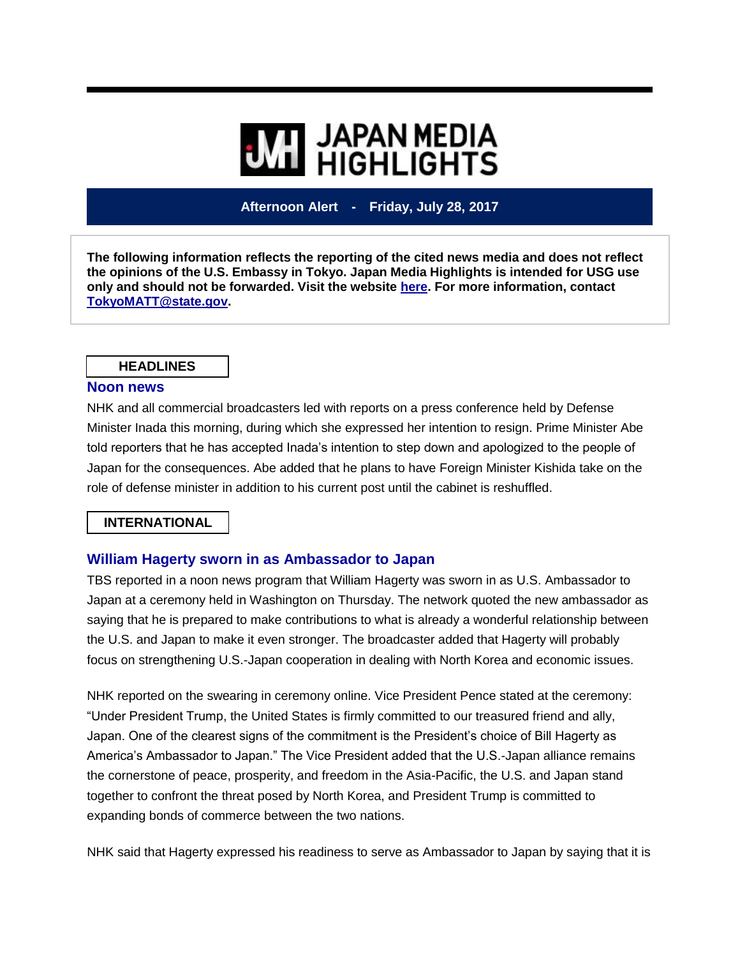# **WI HIGHLIGHTS**

# **Afternoon Alert - Friday, July 28, 2017**

**The following information reflects the reporting of the cited news media and does not reflect the opinions of the U.S. Embassy in Tokyo. Japan Media Highlights is intended for USG use only and should not be forwarded. Visit the website [here.](https://jmh.usembassy.gov/) For more information, contact [TokyoMATT@state.gov.](mailto:TokyoMATT@state.gov)**

#### **HEADLINES**

#### **Noon news**

NHK and all commercial broadcasters led with reports on a press conference held by Defense Minister Inada this morning, during which she expressed her intention to resign. Prime Minister Abe told reporters that he has accepted Inada's intention to step down and apologized to the people of Japan for the consequences. Abe added that he plans to have Foreign Minister Kishida take on the role of defense minister in addition to his current post until the cabinet is reshuffled.

# **INTERNATIONAL**

# **William Hagerty sworn in as Ambassador to Japan**

TBS reported in a noon news program that William Hagerty was sworn in as U.S. Ambassador to Japan at a ceremony held in Washington on Thursday. The network quoted the new ambassador as saying that he is prepared to make contributions to what is already a wonderful relationship between the U.S. and Japan to make it even stronger. The broadcaster added that Hagerty will probably focus on strengthening U.S.-Japan cooperation in dealing with North Korea and economic issues.

NHK reported on the swearing in ceremony online. Vice President Pence stated at the ceremony: "Under President Trump, the United States is firmly committed to our treasured friend and ally, Japan. One of the clearest signs of the commitment is the President's choice of Bill Hagerty as America's Ambassador to Japan." The Vice President added that the U.S.-Japan alliance remains the cornerstone of peace, prosperity, and freedom in the Asia-Pacific, the U.S. and Japan stand together to confront the threat posed by North Korea, and President Trump is committed to expanding bonds of commerce between the two nations.

NHK said that Hagerty expressed his readiness to serve as Ambassador to Japan by saying that it is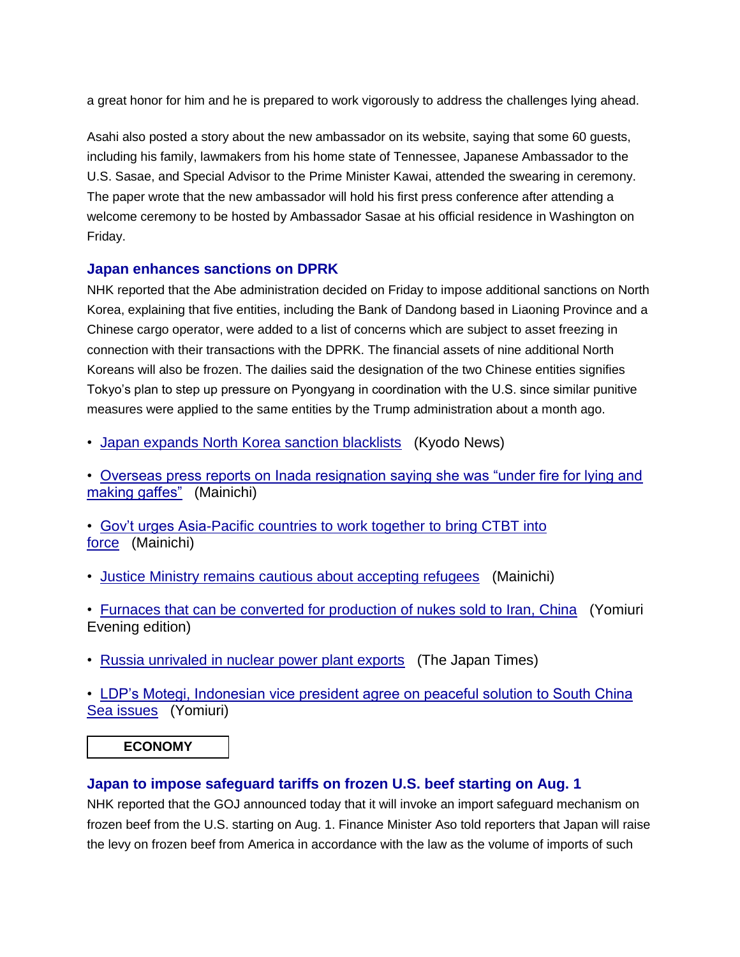a great honor for him and he is prepared to work vigorously to address the challenges lying ahead.

Asahi also posted a story about the new ambassador on its website, saying that some 60 guests, including his family, lawmakers from his home state of Tennessee, Japanese Ambassador to the U.S. Sasae, and Special Advisor to the Prime Minister Kawai, attended the swearing in ceremony. The paper wrote that the new ambassador will hold his first press conference after attending a welcome ceremony to be hosted by Ambassador Sasae at his official residence in Washington on Friday.

# **Japan enhances sanctions on DPRK**

NHK reported that the Abe administration decided on Friday to impose additional sanctions on North Korea, explaining that five entities, including the Bank of Dandong based in Liaoning Province and a Chinese cargo operator, were added to a list of concerns which are subject to asset freezing in connection with their transactions with the DPRK. The financial assets of nine additional North Koreans will also be frozen. The dailies said the designation of the two Chinese entities signifies Tokyo's plan to step up pressure on Pyongyang in coordination with the U.S. since similar punitive measures were applied to the same entities by the Trump administration about a month ago.

• [Japan expands North Korea sanction blacklists](https://jmh.usembassy.gov/2017072888339/) (Kyodo News)

• [Overseas press reports on Inada resignation saying she was "under fire for lying and](https://jmh.usembassy.gov/2017072888371/)  [making gaffes"](https://jmh.usembassy.gov/2017072888371/) (Mainichi)

• [Gov't urges Asia-Pacific countries to work together to bring CTBT into](https://jmh.usembassy.gov/2017072888400/)  [force](https://jmh.usembassy.gov/2017072888400/) (Mainichi)

• [Justice Ministry remains cautious about accepting refugees](https://jmh.usembassy.gov/2017072888358/) (Mainichi)

• [Furnaces that can be converted for production of nukes sold to Iran, China](https://jmh.usembassy.gov/2017072888393/) (Yomiuri Evening edition)

• [Russia unrivaled in nuclear power plant exports](https://jmh.usembassy.gov/2017072888351/) (The Japan Times)

• [LDP's Motegi, Indonesian vice president agree on peaceful solution to South China](https://jmh.usembassy.gov/2017072888340/)  [Sea issues](https://jmh.usembassy.gov/2017072888340/) (Yomiuri)

**ECONOMY**

# **Japan to impose safeguard tariffs on frozen U.S. beef starting on Aug. 1**

NHK reported that the GOJ announced today that it will invoke an import safeguard mechanism on frozen beef from the U.S. starting on Aug. 1. Finance Minister Aso told reporters that Japan will raise the levy on frozen beef from America in accordance with the law as the volume of imports of such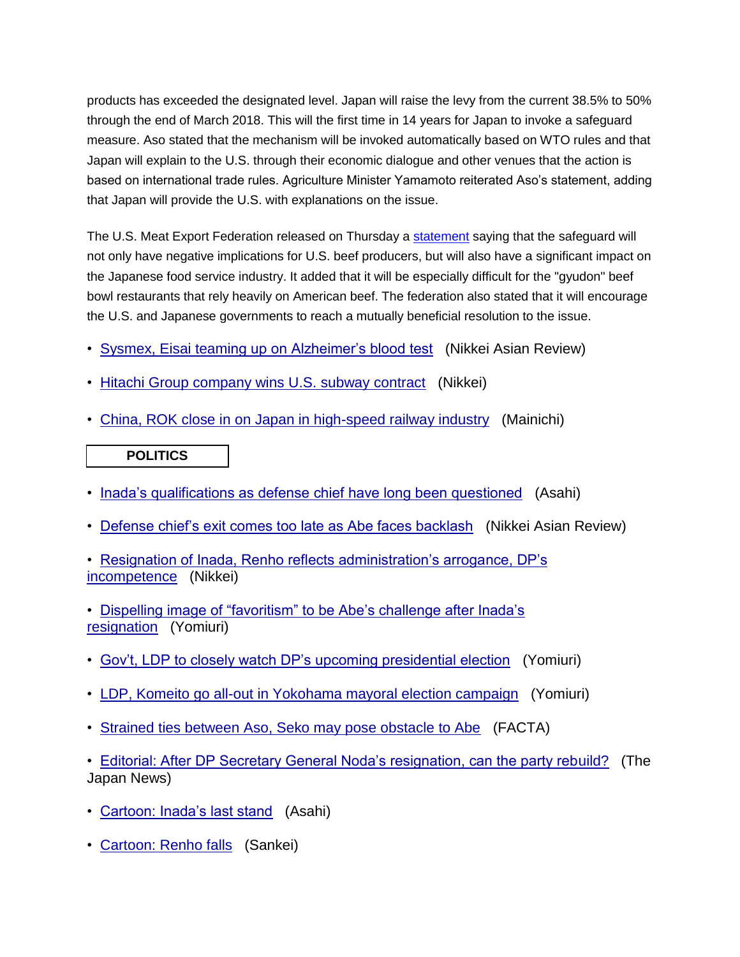products has exceeded the designated level. Japan will raise the levy from the current 38.5% to 50% through the end of March 2018. This will the first time in 14 years for Japan to invoke a safeguard measure. Aso stated that the mechanism will be invoked automatically based on WTO rules and that Japan will explain to the U.S. through their economic dialogue and other venues that the action is based on international trade rules. Agriculture Minister Yamamoto reiterated Aso's statement, adding that Japan will provide the U.S. with explanations on the issue.

The U.S. Meat Export Federation released on Thursday a [statement](https://www.usmef.org/news-statistics/member-news-archive/japans-frozen-beef-safeguard-triggered-in-first-quarter-of-japanese-fiscal-year/) saying that the safeguard will not only have negative implications for U.S. beef producers, but will also have a significant impact on the Japanese food service industry. It added that it will be especially difficult for the "gyudon" beef bowl restaurants that rely heavily on American beef. The federation also stated that it will encourage the U.S. and Japanese governments to reach a mutually beneficial resolution to the issue.

- [Sysmex, Eisai teaming up on Alzheimer's blood test](https://jmh.usembassy.gov/2017072888348/) (Nikkei Asian Review)
- [Hitachi Group company wins U.S. subway contract](https://jmh.usembassy.gov/2017072888410/) (Nikkei)
- [China, ROK close in on Japan in high-speed railway industry](https://jmh.usembassy.gov/2017072888390/) (Mainichi)

# **POLITICS**

- [Inada's qualifications as defense chief have long been questioned](https://jmh.usembassy.gov/2017072888375/) (Asahi)
- [Defense chief's exit comes too late as Abe faces backlash](https://jmh.usembassy.gov/2017072888407/) (Nikkei Asian Review)

• [Resignation of Inada, Renho reflects administration's arrogance, DP's](https://jmh.usembassy.gov/2017072888405/)  [incompetence](https://jmh.usembassy.gov/2017072888405/) (Nikkei)

- [Dispelling image of "favoritism" to be Abe's challenge after Inada's](https://jmh.usembassy.gov/2017072888367/)  [resignation](https://jmh.usembassy.gov/2017072888367/) (Yomiuri)
- [Gov't, LDP to closely watch DP's upcoming presidential election](https://jmh.usembassy.gov/2017072888381/) (Yomiuri)
- [LDP, Komeito go all-out in Yokohama mayoral election campaign](https://jmh.usembassy.gov/2017072888386/) (Yomiuri)
- [Strained ties between Aso, Seko may pose obstacle to Abe](https://jmh.usembassy.gov/2017072888338/) (FACTA)

• [Editorial: After DP Secretary General Noda's resignation, can the party rebuild?](https://jmh.usembassy.gov/2017072888347/) (The Japan News)

- [Cartoon: Inada's last stand](https://jmh.usembassy.gov/2017072888380/) (Asahi)
- [Cartoon: Renho falls](https://jmh.usembassy.gov/2017072888378/) (Sankei)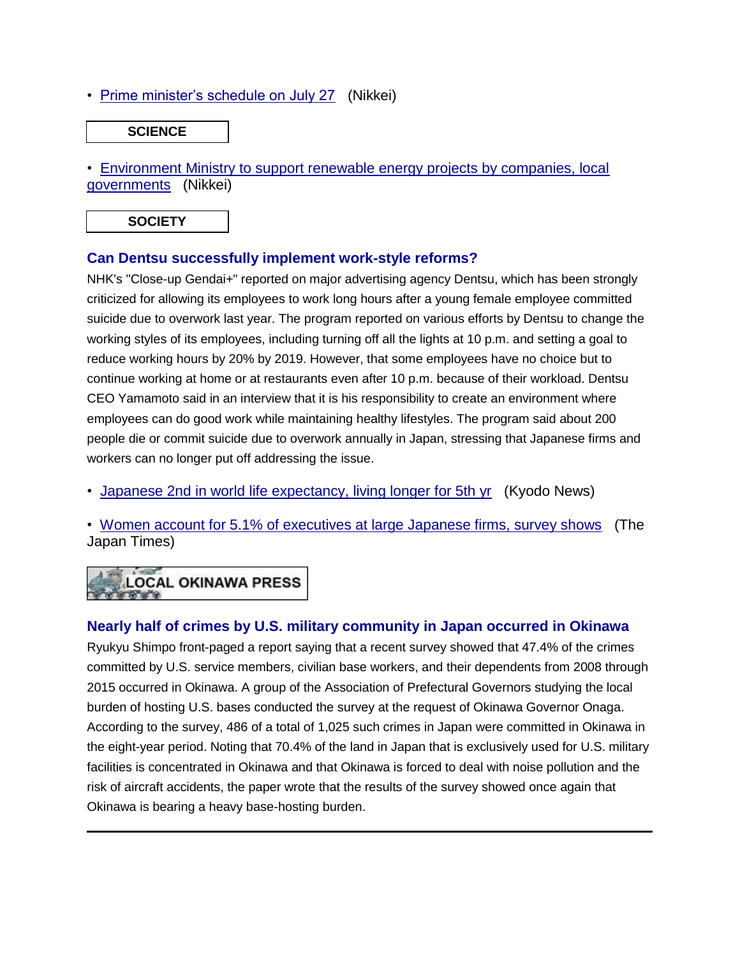• [Prime minister's schedule on July 27](https://jmh.usembassy.gov/2017072888383/) (Nikkei)

#### **SCIENCE**

• [Environment Ministry to support renewable energy projects by companies, local](https://jmh.usembassy.gov/2017072888421/)  [governments](https://jmh.usembassy.gov/2017072888421/) (Nikkei)

**SOCIETY**

# **Can Dentsu successfully implement work-style reforms?**

NHK's "Close-up Gendai+" reported on major advertising agency Dentsu, which has been strongly criticized for allowing its employees to work long hours after a young female employee committed suicide due to overwork last year. The program reported on various efforts by Dentsu to change the working styles of its employees, including turning off all the lights at 10 p.m. and setting a goal to reduce working hours by 20% by 2019. However, that some employees have no choice but to continue working at home or at restaurants even after 10 p.m. because of their workload. Dentsu CEO Yamamoto said in an interview that it is his responsibility to create an environment where employees can do good work while maintaining healthy lifestyles. The program said about 200 people die or commit suicide due to overwork annually in Japan, stressing that Japanese firms and workers can no longer put off addressing the issue.

• [Japanese 2nd in world life expectancy, living longer for 5th yr](https://jmh.usembassy.gov/2017072888349/) (Kyodo News)

• [Women account for 5.1% of executives at large Japanese firms, survey shows](https://jmh.usembassy.gov/2017072888355/) (The Japan Times)

# **LOCAL OKINAWA PRESS**

# **Nearly half of crimes by U.S. military community in Japan occurred in Okinawa**

Ryukyu Shimpo front-paged a report saying that a recent survey showed that 47.4% of the crimes committed by U.S. service members, civilian base workers, and their dependents from 2008 through 2015 occurred in Okinawa. A group of the Association of Prefectural Governors studying the local burden of hosting U.S. bases conducted the survey at the request of Okinawa Governor Onaga. According to the survey, 486 of a total of 1,025 such crimes in Japan were committed in Okinawa in the eight-year period. Noting that 70.4% of the land in Japan that is exclusively used for U.S. military facilities is concentrated in Okinawa and that Okinawa is forced to deal with noise pollution and the risk of aircraft accidents, the paper wrote that the results of the survey showed once again that Okinawa is bearing a heavy base-hosting burden.